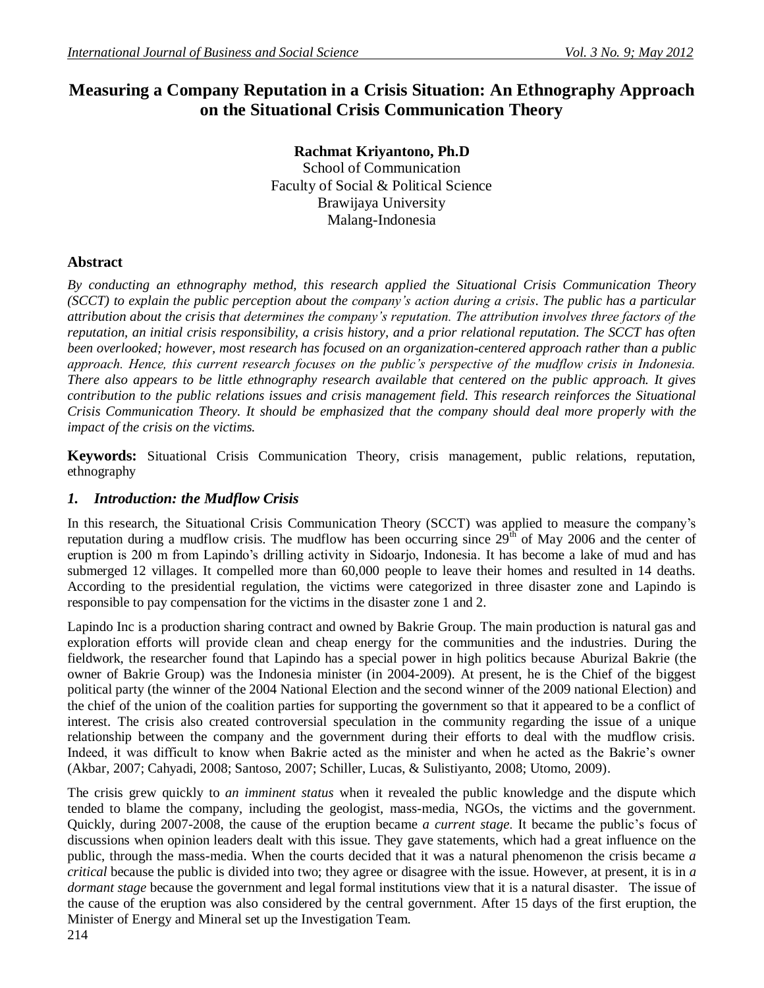# **Measuring a Company Reputation in a Crisis Situation: An Ethnography Approach on the Situational Crisis Communication Theory**

**Rachmat Kriyantono, Ph.D** School of Communication Faculty of Social & Political Science Brawijaya University Malang-Indonesia

# **Abstract**

*By conducting an ethnography method, this research applied the Situational Crisis Communication Theory (SCCT) to explain the public perception about the company's action during a crisis. The public has a particular attribution about the crisis that determines the company's reputation. The attribution involves three factors of the reputation, an initial crisis responsibility, a crisis history, and a prior relational reputation. The SCCT has often been overlooked; however, most research has focused on an organization-centered approach rather than a public approach. Hence, this current research focuses on the public's perspective of the mudflow crisis in Indonesia. There also appears to be little ethnography research available that centered on the public approach. It gives contribution to the public relations issues and crisis management field. This research reinforces the Situational Crisis Communication Theory. It should be emphasized that the company should deal more properly with the impact of the crisis on the victims.*

**Keywords:** Situational Crisis Communication Theory, crisis management, public relations, reputation, ethnography

# *1. Introduction: the Mudflow Crisis*

In this research, the Situational Crisis Communication Theory (SCCT) was applied to measure the company's reputation during a mudflow crisis. The mudflow has been occurring since  $29<sup>th</sup>$  of May 2006 and the center of eruption is 200 m from Lapindo"s drilling activity in Sidoarjo, Indonesia. It has become a lake of mud and has submerged 12 villages. It compelled more than 60,000 people to leave their homes and resulted in 14 deaths. According to the presidential regulation, the victims were categorized in three disaster zone and Lapindo is responsible to pay compensation for the victims in the disaster zone 1 and 2.

Lapindo Inc is a production sharing contract and owned by Bakrie Group. The main production is natural gas and exploration efforts will provide clean and cheap energy for the communities and the industries. During the fieldwork, the researcher found that Lapindo has a special power in high politics because Aburizal Bakrie (the owner of Bakrie Group) was the Indonesia minister (in 2004-2009). At present, he is the Chief of the biggest political party (the winner of the 2004 National Election and the second winner of the 2009 national Election) and the chief of the union of the coalition parties for supporting the government so that it appeared to be a conflict of interest. The crisis also created controversial speculation in the community regarding the issue of a unique relationship between the company and the government during their efforts to deal with the mudflow crisis. Indeed, it was difficult to know when Bakrie acted as the minister and when he acted as the Bakrie"s owner (Akbar, 2007; Cahyadi, 2008; Santoso, 2007; Schiller, Lucas, & Sulistiyanto, 2008; Utomo, 2009).

The crisis grew quickly to *an imminent status* when it revealed the public knowledge and the dispute which tended to blame the company, including the geologist, mass-media, NGOs, the victims and the government. Quickly, during 2007-2008, the cause of the eruption became *a current stage*. It became the public"s focus of discussions when opinion leaders dealt with this issue. They gave statements, which had a great influence on the public, through the mass-media. When the courts decided that it was a natural phenomenon the crisis became *a critical* because the public is divided into two; they agree or disagree with the issue. However, at present, it is in *a dormant stage* because the government and legal formal institutions view that it is a natural disaster. The issue of the cause of the eruption was also considered by the central government. After 15 days of the first eruption, the Minister of Energy and Mineral set up the Investigation Team.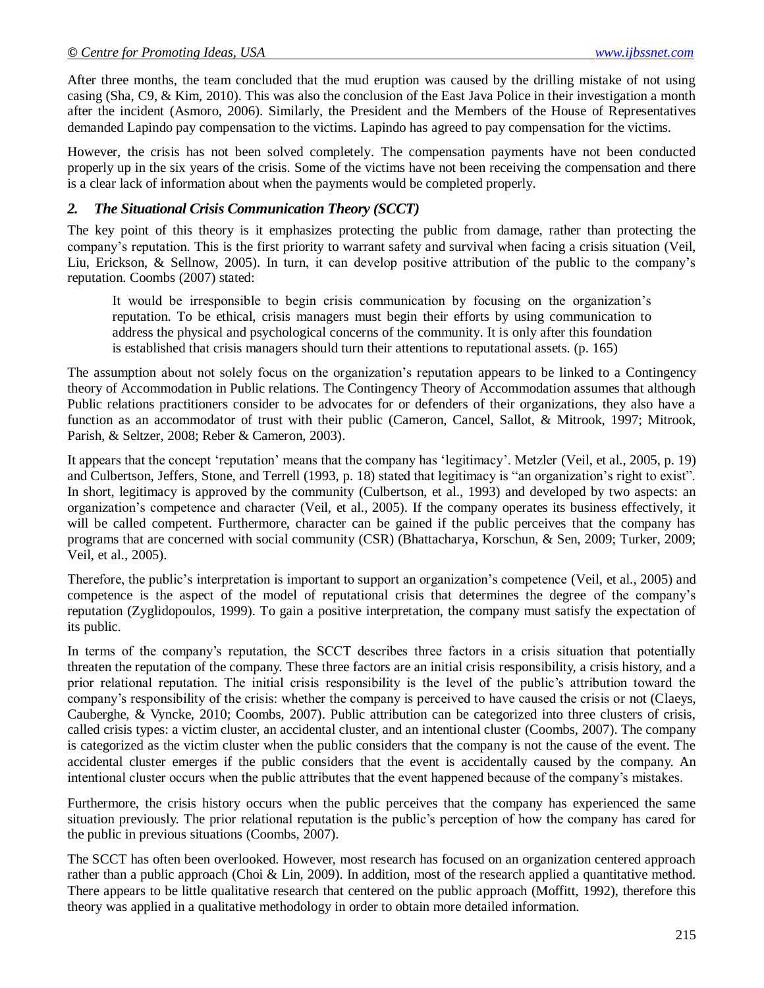After three months, the team concluded that the mud eruption was caused by the drilling mistake of not using casing (Sha, C9, & Kim, 2010). This was also the conclusion of the East Java Police in their investigation a month after the incident (Asmoro, 2006). Similarly, the President and the Members of the House of Representatives demanded Lapindo pay compensation to the victims. Lapindo has agreed to pay compensation for the victims.

However, the crisis has not been solved completely. The compensation payments have not been conducted properly up in the six years of the crisis. Some of the victims have not been receiving the compensation and there is a clear lack of information about when the payments would be completed properly.

## *2. The Situational Crisis Communication Theory (SCCT)*

The key point of this theory is it emphasizes protecting the public from damage, rather than protecting the company"s reputation. This is the first priority to warrant safety and survival when facing a crisis situation (Veil, Liu, Erickson, & Sellnow, 2005). In turn, it can develop positive attribution of the public to the company"s reputation. Coombs (2007) stated:

It would be irresponsible to begin crisis communication by focusing on the organization"s reputation. To be ethical, crisis managers must begin their efforts by using communication to address the physical and psychological concerns of the community. It is only after this foundation is established that crisis managers should turn their attentions to reputational assets. (p. 165)

The assumption about not solely focus on the organization"s reputation appears to be linked to a Contingency theory of Accommodation in Public relations. The Contingency Theory of Accommodation assumes that although Public relations practitioners consider to be advocates for or defenders of their organizations, they also have a function as an accommodator of trust with their public (Cameron, Cancel, Sallot, & Mitrook, 1997; Mitrook, Parish, & Seltzer, 2008; Reber & Cameron, 2003).

It appears that the concept 'reputation' means that the company has 'legitimacy'. Metzler (Veil, et al., 2005, p. 19) and Culbertson, Jeffers, Stone, and Terrell (1993, p. 18) stated that legitimacy is "an organization's right to exist". In short, legitimacy is approved by the community (Culbertson, et al., 1993) and developed by two aspects: an organization"s competence and character (Veil, et al., 2005). If the company operates its business effectively, it will be called competent. Furthermore, character can be gained if the public perceives that the company has programs that are concerned with social community (CSR) (Bhattacharya, Korschun, & Sen, 2009; Turker, 2009; Veil, et al., 2005).

Therefore, the public"s interpretation is important to support an organization"s competence (Veil, et al., 2005) and competence is the aspect of the model of reputational crisis that determines the degree of the company"s reputation (Zyglidopoulos, 1999). To gain a positive interpretation, the company must satisfy the expectation of its public.

In terms of the company's reputation, the SCCT describes three factors in a crisis situation that potentially threaten the reputation of the company. These three factors are an initial crisis responsibility, a crisis history, and a prior relational reputation. The initial crisis responsibility is the level of the public"s attribution toward the company"s responsibility of the crisis: whether the company is perceived to have caused the crisis or not (Claeys, Cauberghe, & Vyncke, 2010; Coombs, 2007). Public attribution can be categorized into three clusters of crisis, called crisis types: a victim cluster, an accidental cluster, and an intentional cluster (Coombs, 2007). The company is categorized as the victim cluster when the public considers that the company is not the cause of the event. The accidental cluster emerges if the public considers that the event is accidentally caused by the company. An intentional cluster occurs when the public attributes that the event happened because of the company"s mistakes.

Furthermore, the crisis history occurs when the public perceives that the company has experienced the same situation previously. The prior relational reputation is the public"s perception of how the company has cared for the public in previous situations (Coombs, 2007).

The SCCT has often been overlooked. However, most research has focused on an organization centered approach rather than a public approach (Choi & Lin, 2009). In addition, most of the research applied a quantitative method. There appears to be little qualitative research that centered on the public approach (Moffitt, 1992), therefore this theory was applied in a qualitative methodology in order to obtain more detailed information.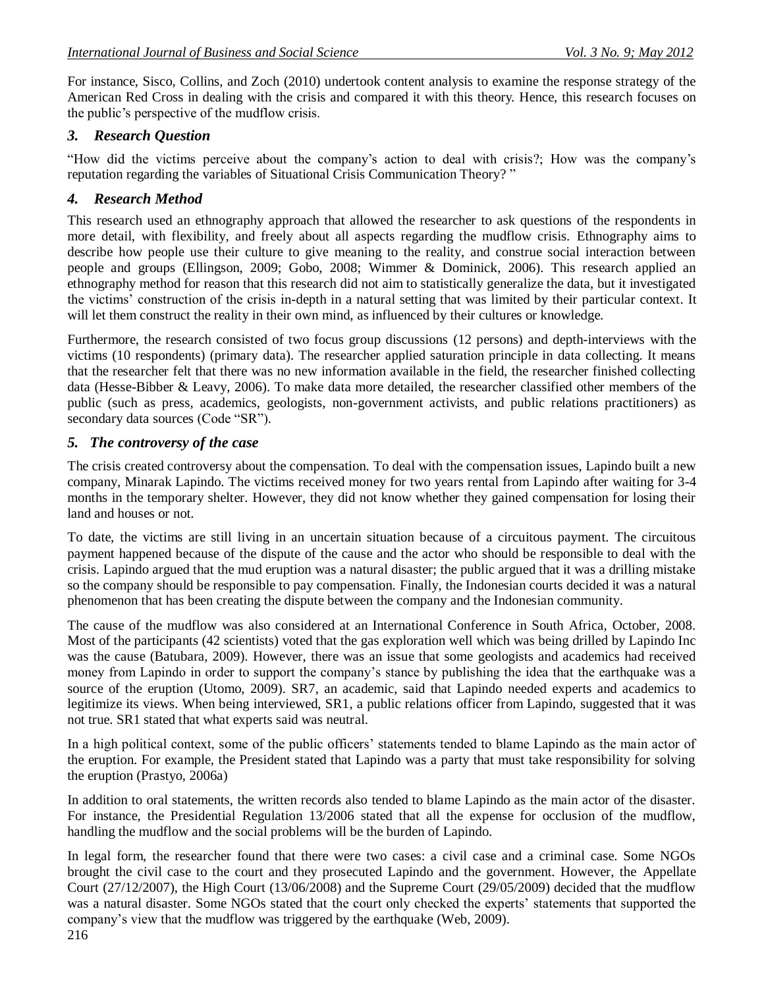For instance, Sisco, Collins, and Zoch (2010) undertook content analysis to examine the response strategy of the American Red Cross in dealing with the crisis and compared it with this theory. Hence, this research focuses on the public"s perspective of the mudflow crisis.

# *3. Research Question*

"How did the victims perceive about the company"s action to deal with crisis?; How was the company"s reputation regarding the variables of Situational Crisis Communication Theory? "

# *4. Research Method*

This research used an ethnography approach that allowed the researcher to ask questions of the respondents in more detail, with flexibility, and freely about all aspects regarding the mudflow crisis. Ethnography aims to describe how people use their culture to give meaning to the reality, and construe social interaction between people and groups (Ellingson, 2009; Gobo, 2008; Wimmer & Dominick, 2006). This research applied an ethnography method for reason that this research did not aim to statistically generalize the data, but it investigated the victims" construction of the crisis in-depth in a natural setting that was limited by their particular context. It will let them construct the reality in their own mind, as influenced by their cultures or knowledge.

Furthermore, the research consisted of two focus group discussions (12 persons) and depth-interviews with the victims (10 respondents) (primary data). The researcher applied saturation principle in data collecting. It means that the researcher felt that there was no new information available in the field, the researcher finished collecting data (Hesse-Bibber & Leavy, 2006). To make data more detailed, the researcher classified other members of the public (such as press, academics, geologists, non-government activists, and public relations practitioners) as secondary data sources (Code "SR").

# *5. The controversy of the case*

The crisis created controversy about the compensation. To deal with the compensation issues, Lapindo built a new company, Minarak Lapindo. The victims received money for two years rental from Lapindo after waiting for 3-4 months in the temporary shelter. However, they did not know whether they gained compensation for losing their land and houses or not.

To date, the victims are still living in an uncertain situation because of a circuitous payment. The circuitous payment happened because of the dispute of the cause and the actor who should be responsible to deal with the crisis. Lapindo argued that the mud eruption was a natural disaster; the public argued that it was a drilling mistake so the company should be responsible to pay compensation. Finally, the Indonesian courts decided it was a natural phenomenon that has been creating the dispute between the company and the Indonesian community.

The cause of the mudflow was also considered at an International Conference in South Africa, October, 2008. Most of the participants (42 scientists) voted that the gas exploration well which was being drilled by Lapindo Inc was the cause (Batubara, 2009). However, there was an issue that some geologists and academics had received money from Lapindo in order to support the company's stance by publishing the idea that the earthquake was a source of the eruption (Utomo, 2009). SR7, an academic, said that Lapindo needed experts and academics to legitimize its views. When being interviewed, SR1, a public relations officer from Lapindo, suggested that it was not true. SR1 stated that what experts said was neutral.

In a high political context, some of the public officers' statements tended to blame Lapindo as the main actor of the eruption. For example, the President stated that Lapindo was a party that must take responsibility for solving the eruption (Prastyo, 2006a)

In addition to oral statements, the written records also tended to blame Lapindo as the main actor of the disaster. For instance, the Presidential Regulation 13/2006 stated that all the expense for occlusion of the mudflow, handling the mudflow and the social problems will be the burden of Lapindo.

In legal form, the researcher found that there were two cases: a civil case and a criminal case. Some NGOs brought the civil case to the court and they prosecuted Lapindo and the government. However, the Appellate Court (27/12/2007), the High Court (13/06/2008) and the Supreme Court (29/05/2009) decided that the mudflow was a natural disaster. Some NGOs stated that the court only checked the experts' statements that supported the company"s view that the mudflow was triggered by the earthquake (Web, 2009).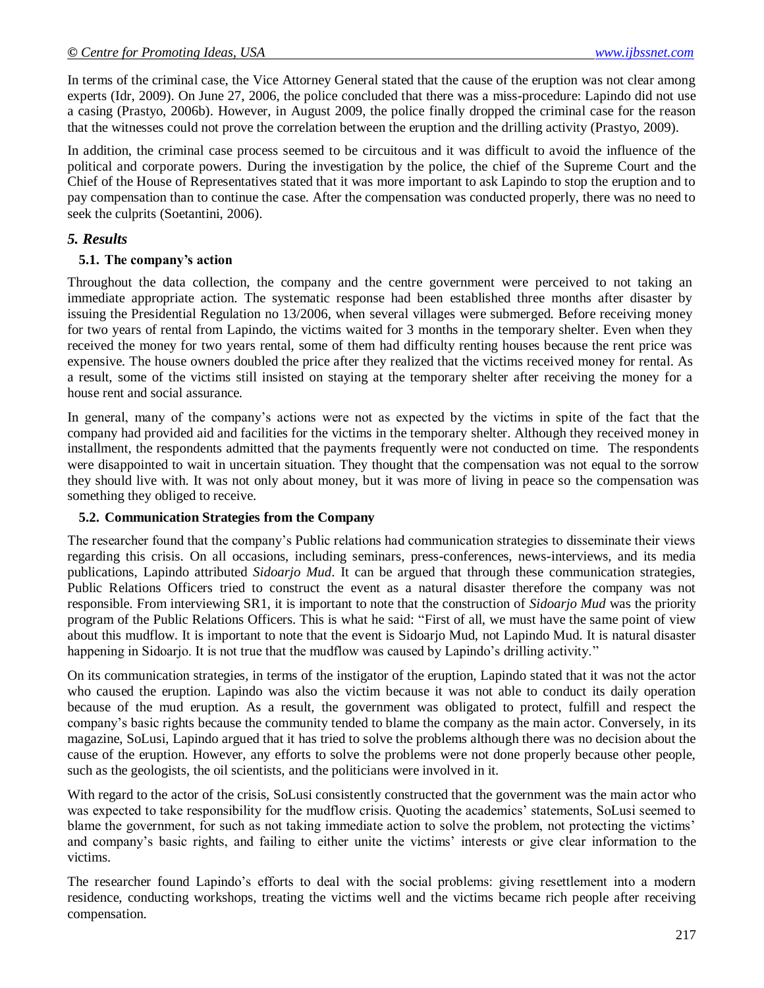In terms of the criminal case, the Vice Attorney General stated that the cause of the eruption was not clear among experts (Idr, 2009). On June 27, 2006, the police concluded that there was a miss-procedure: Lapindo did not use a casing (Prastyo, 2006b). However, in August 2009, the police finally dropped the criminal case for the reason that the witnesses could not prove the correlation between the eruption and the drilling activity (Prastyo, 2009).

In addition, the criminal case process seemed to be circuitous and it was difficult to avoid the influence of the political and corporate powers. During the investigation by the police, the chief of the Supreme Court and the Chief of the House of Representatives stated that it was more important to ask Lapindo to stop the eruption and to pay compensation than to continue the case. After the compensation was conducted properly, there was no need to seek the culprits (Soetantini, 2006).

## *5. Results*

#### **5.1. The company's action**

Throughout the data collection, the company and the centre government were perceived to not taking an immediate appropriate action. The systematic response had been established three months after disaster by issuing the Presidential Regulation no 13/2006, when several villages were submerged. Before receiving money for two years of rental from Lapindo, the victims waited for 3 months in the temporary shelter. Even when they received the money for two years rental, some of them had difficulty renting houses because the rent price was expensive. The house owners doubled the price after they realized that the victims received money for rental. As a result, some of the victims still insisted on staying at the temporary shelter after receiving the money for a house rent and social assurance.

In general, many of the company"s actions were not as expected by the victims in spite of the fact that the company had provided aid and facilities for the victims in the temporary shelter. Although they received money in installment, the respondents admitted that the payments frequently were not conducted on time. The respondents were disappointed to wait in uncertain situation. They thought that the compensation was not equal to the sorrow they should live with. It was not only about money, but it was more of living in peace so the compensation was something they obliged to receive.

## **5.2. Communication Strategies from the Company**

The researcher found that the company"s Public relations had communication strategies to disseminate their views regarding this crisis. On all occasions, including seminars, press-conferences, news-interviews, and its media publications, Lapindo attributed *Sidoarjo Mud*. It can be argued that through these communication strategies, Public Relations Officers tried to construct the event as a natural disaster therefore the company was not responsible. From interviewing SR1, it is important to note that the construction of *Sidoarjo Mud* was the priority program of the Public Relations Officers. This is what he said: "First of all, we must have the same point of view about this mudflow. It is important to note that the event is Sidoarjo Mud, not Lapindo Mud. It is natural disaster happening in Sidoarjo. It is not true that the mudflow was caused by Lapindo's drilling activity."

On its communication strategies, in terms of the instigator of the eruption, Lapindo stated that it was not the actor who caused the eruption. Lapindo was also the victim because it was not able to conduct its daily operation because of the mud eruption. As a result, the government was obligated to protect, fulfill and respect the company"s basic rights because the community tended to blame the company as the main actor. Conversely, in its magazine, SoLusi, Lapindo argued that it has tried to solve the problems although there was no decision about the cause of the eruption. However, any efforts to solve the problems were not done properly because other people, such as the geologists, the oil scientists, and the politicians were involved in it.

With regard to the actor of the crisis, SoLusi consistently constructed that the government was the main actor who was expected to take responsibility for the mudflow crisis. Quoting the academics" statements, SoLusi seemed to blame the government, for such as not taking immediate action to solve the problem, not protecting the victims' and company's basic rights, and failing to either unite the victims' interests or give clear information to the victims.

The researcher found Lapindo"s efforts to deal with the social problems: giving resettlement into a modern residence, conducting workshops, treating the victims well and the victims became rich people after receiving compensation.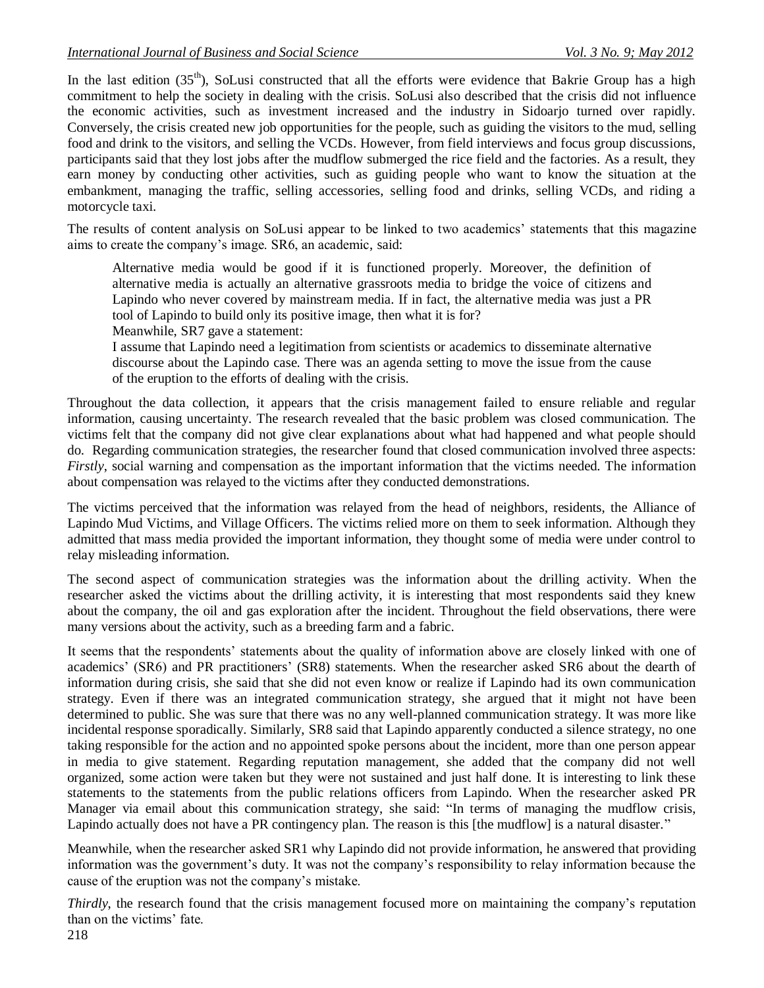In the last edition  $(35<sup>th</sup>)$ , SoLusi constructed that all the efforts were evidence that Bakrie Group has a high commitment to help the society in dealing with the crisis. SoLusi also described that the crisis did not influence the economic activities, such as investment increased and the industry in Sidoarjo turned over rapidly. Conversely, the crisis created new job opportunities for the people, such as guiding the visitors to the mud, selling food and drink to the visitors, and selling the VCDs. However, from field interviews and focus group discussions, participants said that they lost jobs after the mudflow submerged the rice field and the factories. As a result, they earn money by conducting other activities, such as guiding people who want to know the situation at the embankment, managing the traffic, selling accessories, selling food and drinks, selling VCDs, and riding a motorcycle taxi.

The results of content analysis on SoLusi appear to be linked to two academics" statements that this magazine aims to create the company"s image. SR6, an academic, said:

Alternative media would be good if it is functioned properly. Moreover, the definition of alternative media is actually an alternative grassroots media to bridge the voice of citizens and Lapindo who never covered by mainstream media. If in fact, the alternative media was just a PR tool of Lapindo to build only its positive image, then what it is for? Meanwhile, SR7 gave a statement:

I assume that Lapindo need a legitimation from scientists or academics to disseminate alternative discourse about the Lapindo case. There was an agenda setting to move the issue from the cause of the eruption to the efforts of dealing with the crisis.

Throughout the data collection, it appears that the crisis management failed to ensure reliable and regular information, causing uncertainty. The research revealed that the basic problem was closed communication. The victims felt that the company did not give clear explanations about what had happened and what people should do. Regarding communication strategies, the researcher found that closed communication involved three aspects: *Firstly*, social warning and compensation as the important information that the victims needed. The information about compensation was relayed to the victims after they conducted demonstrations.

The victims perceived that the information was relayed from the head of neighbors, residents, the Alliance of Lapindo Mud Victims, and Village Officers. The victims relied more on them to seek information. Although they admitted that mass media provided the important information, they thought some of media were under control to relay misleading information.

The second aspect of communication strategies was the information about the drilling activity. When the researcher asked the victims about the drilling activity, it is interesting that most respondents said they knew about the company, the oil and gas exploration after the incident. Throughout the field observations, there were many versions about the activity, such as a breeding farm and a fabric.

It seems that the respondents' statements about the quality of information above are closely linked with one of academics' (SR6) and PR practitioners' (SR8) statements. When the researcher asked SR6 about the dearth of information during crisis, she said that she did not even know or realize if Lapindo had its own communication strategy. Even if there was an integrated communication strategy, she argued that it might not have been determined to public. She was sure that there was no any well-planned communication strategy. It was more like incidental response sporadically. Similarly, SR8 said that Lapindo apparently conducted a silence strategy, no one taking responsible for the action and no appointed spoke persons about the incident, more than one person appear in media to give statement. Regarding reputation management, she added that the company did not well organized, some action were taken but they were not sustained and just half done. It is interesting to link these statements to the statements from the public relations officers from Lapindo. When the researcher asked PR Manager via email about this communication strategy, she said: "In terms of managing the mudflow crisis, Lapindo actually does not have a PR contingency plan. The reason is this [the mudflow] is a natural disaster."

Meanwhile, when the researcher asked SR1 why Lapindo did not provide information, he answered that providing information was the government's duty. It was not the company's responsibility to relay information because the cause of the eruption was not the company"s mistake.

*Thirdly*, the research found that the crisis management focused more on maintaining the company"s reputation than on the victims' fate.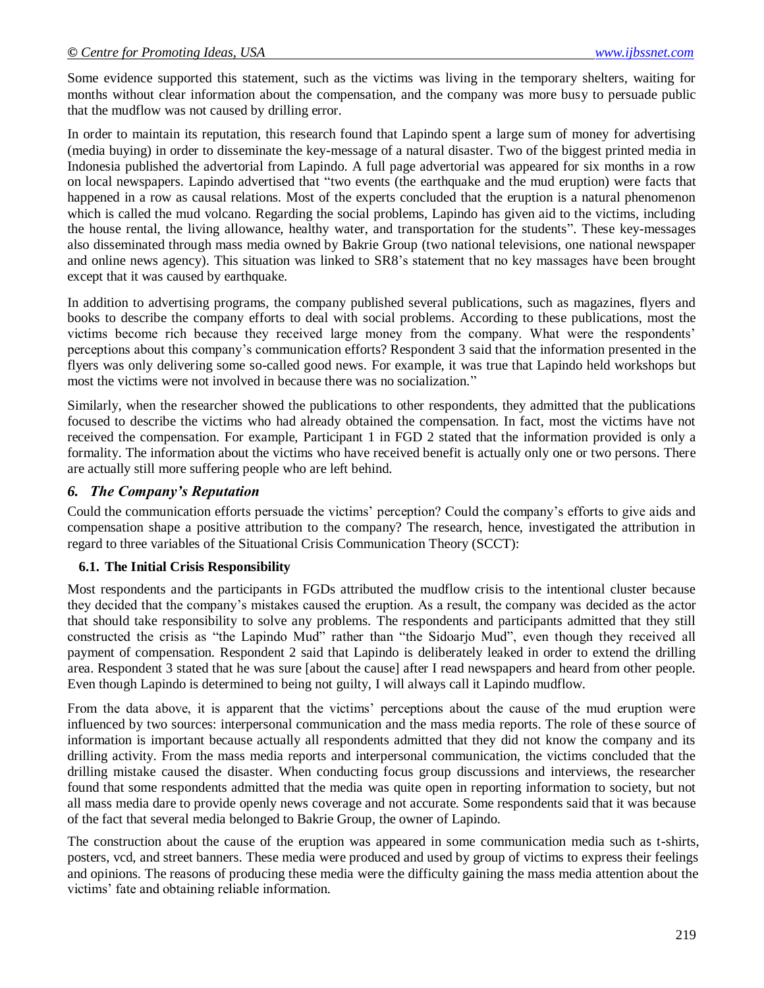Some evidence supported this statement, such as the victims was living in the temporary shelters, waiting for months without clear information about the compensation, and the company was more busy to persuade public that the mudflow was not caused by drilling error.

In order to maintain its reputation, this research found that Lapindo spent a large sum of money for advertising (media buying) in order to disseminate the key-message of a natural disaster. Two of the biggest printed media in Indonesia published the advertorial from Lapindo. A full page advertorial was appeared for six months in a row on local newspapers. Lapindo advertised that "two events (the earthquake and the mud eruption) were facts that happened in a row as causal relations. Most of the experts concluded that the eruption is a natural phenomenon which is called the mud volcano. Regarding the social problems, Lapindo has given aid to the victims, including the house rental, the living allowance, healthy water, and transportation for the students". These key-messages also disseminated through mass media owned by Bakrie Group (two national televisions, one national newspaper and online news agency). This situation was linked to SR8"s statement that no key massages have been brought except that it was caused by earthquake.

In addition to advertising programs, the company published several publications, such as magazines, flyers and books to describe the company efforts to deal with social problems. According to these publications, most the victims become rich because they received large money from the company. What were the respondents" perceptions about this company"s communication efforts? Respondent 3 said that the information presented in the flyers was only delivering some so-called good news. For example, it was true that Lapindo held workshops but most the victims were not involved in because there was no socialization."

Similarly, when the researcher showed the publications to other respondents, they admitted that the publications focused to describe the victims who had already obtained the compensation. In fact, most the victims have not received the compensation. For example, Participant 1 in FGD 2 stated that the information provided is only a formality. The information about the victims who have received benefit is actually only one or two persons. There are actually still more suffering people who are left behind.

#### *6. The Company's Reputation*

Could the communication efforts persuade the victims" perception? Could the company"s efforts to give aids and compensation shape a positive attribution to the company? The research, hence, investigated the attribution in regard to three variables of the Situational Crisis Communication Theory (SCCT):

#### **6.1. The Initial Crisis Responsibility**

Most respondents and the participants in FGDs attributed the mudflow crisis to the intentional cluster because they decided that the company"s mistakes caused the eruption. As a result, the company was decided as the actor that should take responsibility to solve any problems. The respondents and participants admitted that they still constructed the crisis as "the Lapindo Mud" rather than "the Sidoarjo Mud", even though they received all payment of compensation. Respondent 2 said that Lapindo is deliberately leaked in order to extend the drilling area. Respondent 3 stated that he was sure [about the cause] after I read newspapers and heard from other people. Even though Lapindo is determined to being not guilty, I will always call it Lapindo mudflow.

From the data above, it is apparent that the victims' perceptions about the cause of the mud eruption were influenced by two sources: interpersonal communication and the mass media reports. The role of these source of information is important because actually all respondents admitted that they did not know the company and its drilling activity. From the mass media reports and interpersonal communication, the victims concluded that the drilling mistake caused the disaster. When conducting focus group discussions and interviews, the researcher found that some respondents admitted that the media was quite open in reporting information to society, but not all mass media dare to provide openly news coverage and not accurate. Some respondents said that it was because of the fact that several media belonged to Bakrie Group, the owner of Lapindo.

The construction about the cause of the eruption was appeared in some communication media such as t-shirts, posters, vcd, and street banners. These media were produced and used by group of victims to express their feelings and opinions. The reasons of producing these media were the difficulty gaining the mass media attention about the victims" fate and obtaining reliable information.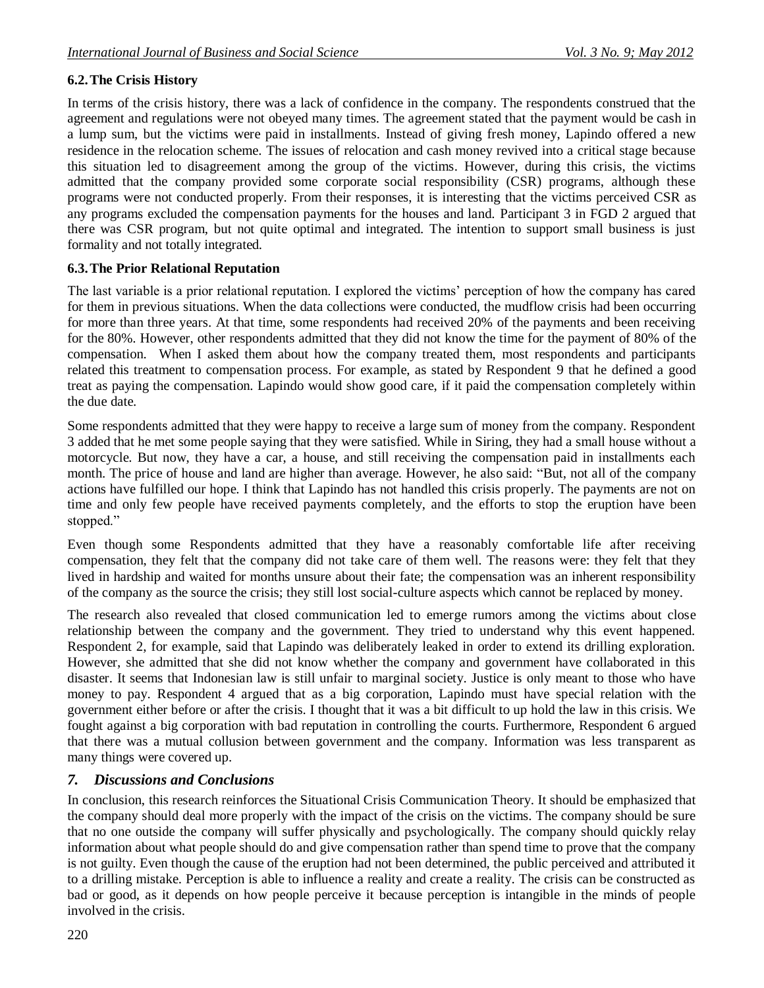## **6.2.The Crisis History**

In terms of the crisis history, there was a lack of confidence in the company. The respondents construed that the agreement and regulations were not obeyed many times. The agreement stated that the payment would be cash in a lump sum, but the victims were paid in installments. Instead of giving fresh money, Lapindo offered a new residence in the relocation scheme. The issues of relocation and cash money revived into a critical stage because this situation led to disagreement among the group of the victims. However, during this crisis, the victims admitted that the company provided some corporate social responsibility (CSR) programs, although these programs were not conducted properly. From their responses, it is interesting that the victims perceived CSR as any programs excluded the compensation payments for the houses and land. Participant 3 in FGD 2 argued that there was CSR program, but not quite optimal and integrated. The intention to support small business is just formality and not totally integrated.

## **6.3.The Prior Relational Reputation**

The last variable is a prior relational reputation. I explored the victims' perception of how the company has cared for them in previous situations. When the data collections were conducted, the mudflow crisis had been occurring for more than three years. At that time, some respondents had received 20% of the payments and been receiving for the 80%. However, other respondents admitted that they did not know the time for the payment of 80% of the compensation. When I asked them about how the company treated them, most respondents and participants related this treatment to compensation process. For example, as stated by Respondent 9 that he defined a good treat as paying the compensation. Lapindo would show good care, if it paid the compensation completely within the due date.

Some respondents admitted that they were happy to receive a large sum of money from the company. Respondent 3 added that he met some people saying that they were satisfied. While in Siring, they had a small house without a motorcycle. But now, they have a car, a house, and still receiving the compensation paid in installments each month. The price of house and land are higher than average. However, he also said: "But, not all of the company actions have fulfilled our hope. I think that Lapindo has not handled this crisis properly. The payments are not on time and only few people have received payments completely, and the efforts to stop the eruption have been stopped."

Even though some Respondents admitted that they have a reasonably comfortable life after receiving compensation, they felt that the company did not take care of them well. The reasons were: they felt that they lived in hardship and waited for months unsure about their fate; the compensation was an inherent responsibility of the company as the source the crisis; they still lost social-culture aspects which cannot be replaced by money.

The research also revealed that closed communication led to emerge rumors among the victims about close relationship between the company and the government. They tried to understand why this event happened. Respondent 2, for example, said that Lapindo was deliberately leaked in order to extend its drilling exploration. However, she admitted that she did not know whether the company and government have collaborated in this disaster. It seems that Indonesian law is still unfair to marginal society. Justice is only meant to those who have money to pay. Respondent 4 argued that as a big corporation, Lapindo must have special relation with the government either before or after the crisis. I thought that it was a bit difficult to up hold the law in this crisis. We fought against a big corporation with bad reputation in controlling the courts. Furthermore, Respondent 6 argued that there was a mutual collusion between government and the company. Information was less transparent as many things were covered up.

# *7. Discussions and Conclusions*

In conclusion, this research reinforces the Situational Crisis Communication Theory. It should be emphasized that the company should deal more properly with the impact of the crisis on the victims. The company should be sure that no one outside the company will suffer physically and psychologically. The company should quickly relay information about what people should do and give compensation rather than spend time to prove that the company is not guilty. Even though the cause of the eruption had not been determined, the public perceived and attributed it to a drilling mistake. Perception is able to influence a reality and create a reality. The crisis can be constructed as bad or good, as it depends on how people perceive it because perception is intangible in the minds of people involved in the crisis.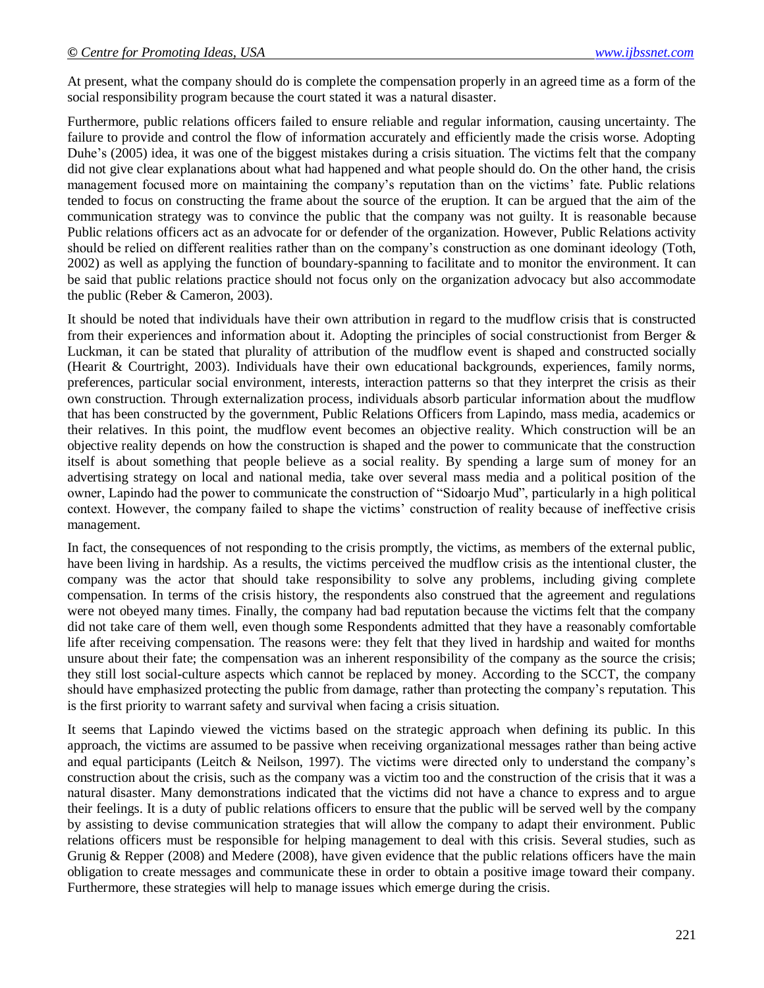At present, what the company should do is complete the compensation properly in an agreed time as a form of the social responsibility program because the court stated it was a natural disaster.

Furthermore, public relations officers failed to ensure reliable and regular information, causing uncertainty. The failure to provide and control the flow of information accurately and efficiently made the crisis worse. Adopting Duhe's (2005) idea, it was one of the biggest mistakes during a crisis situation. The victims felt that the company did not give clear explanations about what had happened and what people should do. On the other hand, the crisis management focused more on maintaining the company's reputation than on the victims' fate. Public relations tended to focus on constructing the frame about the source of the eruption. It can be argued that the aim of the communication strategy was to convince the public that the company was not guilty. It is reasonable because Public relations officers act as an advocate for or defender of the organization. However, Public Relations activity should be relied on different realities rather than on the company"s construction as one dominant ideology (Toth, 2002) as well as applying the function of boundary-spanning to facilitate and to monitor the environment. It can be said that public relations practice should not focus only on the organization advocacy but also accommodate the public (Reber & Cameron, 2003).

It should be noted that individuals have their own attribution in regard to the mudflow crisis that is constructed from their experiences and information about it. Adopting the principles of social constructionist from Berger & Luckman, it can be stated that plurality of attribution of the mudflow event is shaped and constructed socially (Hearit & Courtright, 2003). Individuals have their own educational backgrounds, experiences, family norms, preferences, particular social environment, interests, interaction patterns so that they interpret the crisis as their own construction. Through externalization process, individuals absorb particular information about the mudflow that has been constructed by the government, Public Relations Officers from Lapindo, mass media, academics or their relatives. In this point, the mudflow event becomes an objective reality. Which construction will be an objective reality depends on how the construction is shaped and the power to communicate that the construction itself is about something that people believe as a social reality. By spending a large sum of money for an advertising strategy on local and national media, take over several mass media and a political position of the owner, Lapindo had the power to communicate the construction of "Sidoarjo Mud", particularly in a high political context. However, the company failed to shape the victims" construction of reality because of ineffective crisis management.

In fact, the consequences of not responding to the crisis promptly, the victims, as members of the external public, have been living in hardship. As a results, the victims perceived the mudflow crisis as the intentional cluster, the company was the actor that should take responsibility to solve any problems, including giving complete compensation. In terms of the crisis history, the respondents also construed that the agreement and regulations were not obeyed many times. Finally, the company had bad reputation because the victims felt that the company did not take care of them well, even though some Respondents admitted that they have a reasonably comfortable life after receiving compensation. The reasons were: they felt that they lived in hardship and waited for months unsure about their fate; the compensation was an inherent responsibility of the company as the source the crisis; they still lost social-culture aspects which cannot be replaced by money. According to the SCCT, the company should have emphasized protecting the public from damage, rather than protecting the company"s reputation. This is the first priority to warrant safety and survival when facing a crisis situation.

It seems that Lapindo viewed the victims based on the strategic approach when defining its public. In this approach, the victims are assumed to be passive when receiving organizational messages rather than being active and equal participants (Leitch & Neilson, 1997). The victims were directed only to understand the company"s construction about the crisis, such as the company was a victim too and the construction of the crisis that it was a natural disaster. Many demonstrations indicated that the victims did not have a chance to express and to argue their feelings. It is a duty of public relations officers to ensure that the public will be served well by the company by assisting to devise communication strategies that will allow the company to adapt their environment. Public relations officers must be responsible for helping management to deal with this crisis. Several studies, such as Grunig & Repper (2008) and Medere (2008), have given evidence that the public relations officers have the main obligation to create messages and communicate these in order to obtain a positive image toward their company. Furthermore, these strategies will help to manage issues which emerge during the crisis.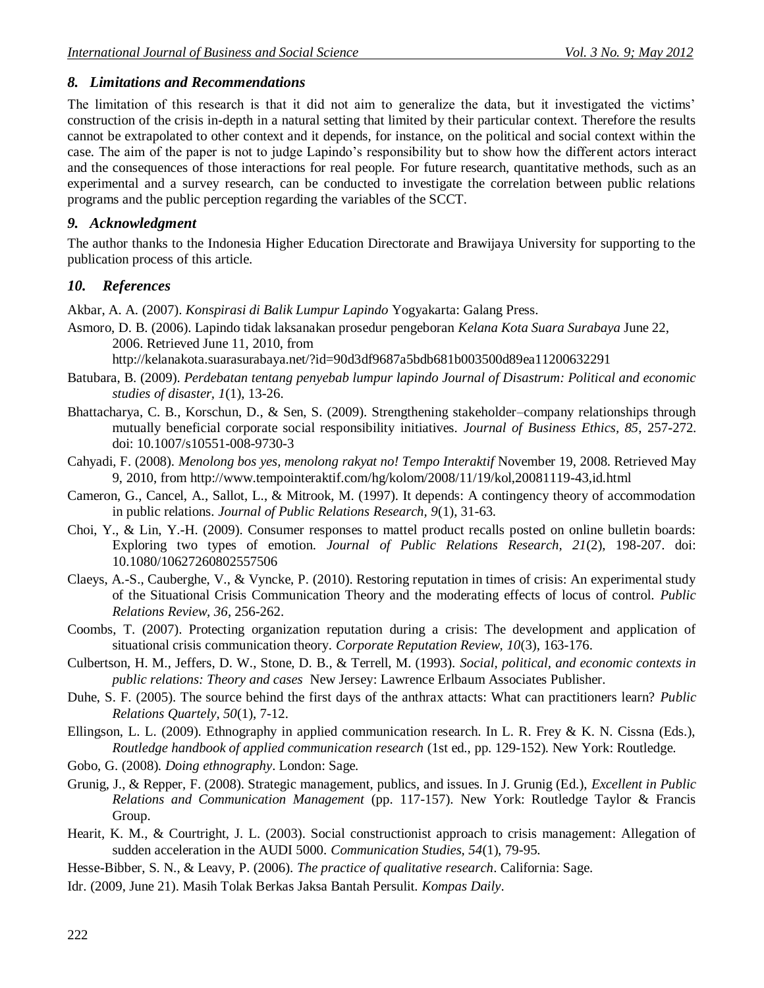# *8. Limitations and Recommendations*

The limitation of this research is that it did not aim to generalize the data, but it investigated the victims' construction of the crisis in-depth in a natural setting that limited by their particular context. Therefore the results cannot be extrapolated to other context and it depends, for instance, on the political and social context within the case. The aim of the paper is not to judge Lapindo"s responsibility but to show how the different actors interact and the consequences of those interactions for real people. For future research, quantitative methods, such as an experimental and a survey research, can be conducted to investigate the correlation between public relations programs and the public perception regarding the variables of the SCCT.

# *9. Acknowledgment*

The author thanks to the Indonesia Higher Education Directorate and Brawijaya University for supporting to the publication process of this article.

# *10. References*

Akbar, A. A. (2007). *Konspirasi di Balik Lumpur Lapindo* Yogyakarta: Galang Press.

Asmoro, D. B. (2006). Lapindo tidak laksanakan prosedur pengeboran *Kelana Kota Suara Surabaya* June 22, 2006. Retrieved June 11, 2010, from

<http://kelanakota.suarasurabaya.net/?id=90d3df9687a5bdb681b003500d89ea11200632291>

- Batubara, B. (2009). *Perdebatan tentang penyebab lumpur lapindo Journal of Disastrum: Political and economic studies of disaster, 1*(1), 13-26.
- Bhattacharya, C. B., Korschun, D., & Sen, S. (2009). Strengthening stakeholder–company relationships through mutually beneficial corporate social responsibility initiatives. *Journal of Business Ethics, 85*, 257-272. doi: 10.1007/s10551-008-9730-3
- Cahyadi, F. (2008). *Menolong bos yes, menolong rakyat no! Tempo Interaktif* November 19, 2008. Retrieved May 9, 2010, from<http://www.tempointeraktif.com/hg/kolom/2008/11/19/kol,20081119-43,id.html>
- Cameron, G., Cancel, A., Sallot, L., & Mitrook, M. (1997). It depends: A contingency theory of accommodation in public relations. *Journal of Public Relations Research, 9*(1), 31-63.
- Choi, Y., & Lin, Y.-H. (2009). Consumer responses to mattel product recalls posted on online bulletin boards: Exploring two types of emotion. *Journal of Public Relations Research, 21*(2), 198-207. doi: 10.1080/10627260802557506
- Claeys, A.-S., Cauberghe, V., & Vyncke, P. (2010). Restoring reputation in times of crisis: An experimental study of the Situational Crisis Communication Theory and the moderating effects of locus of control. *Public Relations Review, 36*, 256-262.
- Coombs, T. (2007). Protecting organization reputation during a crisis: The development and application of situational crisis communication theory. *Corporate Reputation Review, 10*(3), 163-176.
- Culbertson, H. M., Jeffers, D. W., Stone, D. B., & Terrell, M. (1993). *Social, political, and economic contexts in public relations: Theory and cases* New Jersey: Lawrence Erlbaum Associates Publisher.
- Duhe, S. F. (2005). The source behind the first days of the anthrax attacts: What can practitioners learn? *Public Relations Quartely, 50*(1), 7-12.
- Ellingson, L. L. (2009). Ethnography in applied communication research. In L. R. Frey & K. N. Cissna (Eds.), *Routledge handbook of applied communication research* (1st ed., pp. 129-152). New York: Routledge.
- Gobo, G. (2008). *Doing ethnography*. London: Sage.
- Grunig, J., & Repper, F. (2008). Strategic management, publics, and issues. In J. Grunig (Ed.), *Excellent in Public Relations and Communication Management* (pp. 117-157). New York: Routledge Taylor & Francis Group.
- Hearit, K. M., & Courtright, J. L. (2003). Social constructionist approach to crisis management: Allegation of sudden acceleration in the AUDI 5000. *Communication Studies, 54*(1), 79-95.

Hesse-Bibber, S. N., & Leavy, P. (2006). *The practice of qualitative research*. California: Sage.

Idr. (2009, June 21). Masih Tolak Berkas Jaksa Bantah Persulit. *Kompas Daily*.